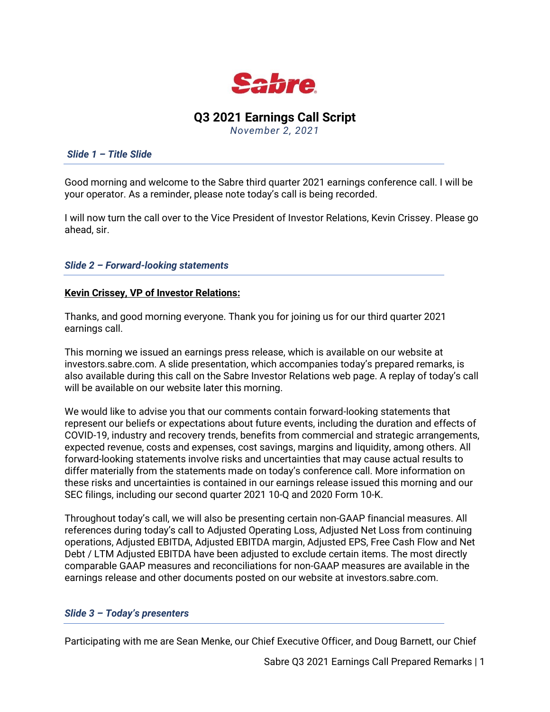

# **Q3 2021 Earnings Call Script**

*November 2, 2021*

#### *Slide 1 – Title Slide*

Good morning and welcome to the Sabre third quarter 2021 earnings conference call. I will be your operator. As a reminder, please note today's call is being recorded.

I will now turn the call over to the Vice President of Investor Relations, Kevin Crissey. Please go ahead, sir.

## *Slide 2 – Forward-looking statements*

### **Kevin Crissey, VP of Investor Relations:**

Thanks, and good morning everyone. Thank you for joining us for our third quarter 2021 earnings call.

This morning we issued an earnings press release, which is available on our website at investors.sabre.com. A slide presentation, which accompanies today's prepared remarks, is also available during this call on the Sabre Investor Relations web page. A replay of today's call will be available on our website later this morning.

We would like to advise you that our comments contain forward-looking statements that represent our beliefs or expectations about future events, including the duration and effects of COVID-19, industry and recovery trends, benefits from commercial and strategic arrangements, expected revenue, costs and expenses, cost savings, margins and liquidity, among others. All forward-looking statements involve risks and uncertainties that may cause actual results to differ materially from the statements made on today's conference call. More information on these risks and uncertainties is contained in our earnings release issued this morning and our SEC filings, including our second quarter 2021 10-Q and 2020 Form 10-K.

Throughout today's call, we will also be presenting certain non-GAAP financial measures. All references during today's call to Adjusted Operating Loss, Adjusted Net Loss from continuing operations, Adjusted EBITDA, Adjusted EBITDA margin, Adjusted EPS, Free Cash Flow and Net Debt / LTM Adjusted EBITDA have been adjusted to exclude certain items. The most directly comparable GAAP measures and reconciliations for non-GAAP measures are available in the earnings release and other documents posted on our website at investors.sabre.com.

### *Slide 3 – Today's presenters*

Participating with me are Sean Menke, our Chief Executive Officer, and Doug Barnett, our Chief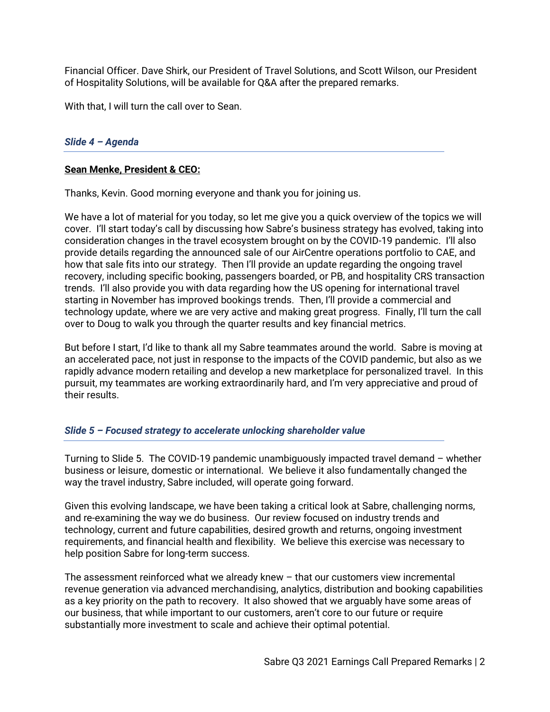Financial Officer. Dave Shirk, our President of Travel Solutions, and Scott Wilson, our President of Hospitality Solutions, will be available for Q&A after the prepared remarks.

With that, I will turn the call over to Sean.

## *Slide 4 – Agenda*

### **Sean Menke, President & CEO:**

Thanks, Kevin. Good morning everyone and thank you for joining us.

We have a lot of material for you today, so let me give you a quick overview of the topics we will cover. I'll start today's call by discussing how Sabre's business strategy has evolved, taking into consideration changes in the travel ecosystem brought on by the COVID-19 pandemic. I'll also provide details regarding the announced sale of our AirCentre operations portfolio to CAE, and how that sale fits into our strategy. Then I'll provide an update regarding the ongoing travel recovery, including specific booking, passengers boarded, or PB, and hospitality CRS transaction trends. I'll also provide you with data regarding how the US opening for international travel starting in November has improved bookings trends. Then, I'll provide a commercial and technology update, where we are very active and making great progress. Finally, I'll turn the call over to Doug to walk you through the quarter results and key financial metrics.

But before I start, I'd like to thank all my Sabre teammates around the world. Sabre is moving at an accelerated pace, not just in response to the impacts of the COVID pandemic, but also as we rapidly advance modern retailing and develop a new marketplace for personalized travel. In this pursuit, my teammates are working extraordinarily hard, and I'm very appreciative and proud of their results.

### *Slide 5 – Focused strategy to accelerate unlocking shareholder value*

Turning to Slide 5. The COVID-19 pandemic unambiguously impacted travel demand – whether business or leisure, domestic or international. We believe it also fundamentally changed the way the travel industry, Sabre included, will operate going forward.

Given this evolving landscape, we have been taking a critical look at Sabre, challenging norms, and re-examining the way we do business. Our review focused on industry trends and technology, current and future capabilities, desired growth and returns, ongoing investment requirements, and financial health and flexibility. We believe this exercise was necessary to help position Sabre for long-term success.

The assessment reinforced what we already knew – that our customers view incremental revenue generation via advanced merchandising, analytics, distribution and booking capabilities as a key priority on the path to recovery. It also showed that we arguably have some areas of our business, that while important to our customers, aren't core to our future or require substantially more investment to scale and achieve their optimal potential.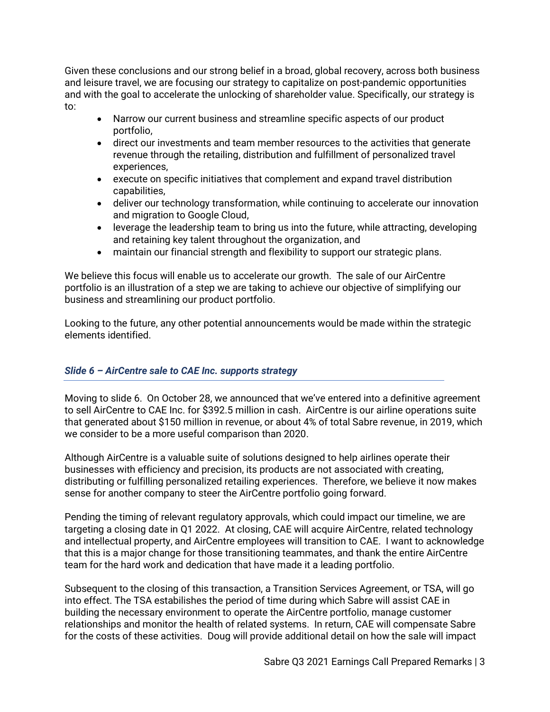Given these conclusions and our strong belief in a broad, global recovery, across both business and leisure travel, we are focusing our strategy to capitalize on post-pandemic opportunities and with the goal to accelerate the unlocking of shareholder value. Specifically, our strategy is to:

- Narrow our current business and streamline specific aspects of our product portfolio,
- direct our investments and team member resources to the activities that generate revenue through the retailing, distribution and fulfillment of personalized travel experiences,
- execute on specific initiatives that complement and expand travel distribution capabilities,
- deliver our technology transformation, while continuing to accelerate our innovation and migration to Google Cloud,
- leverage the leadership team to bring us into the future, while attracting, developing and retaining key talent throughout the organization, and
- maintain our financial strength and flexibility to support our strategic plans.

We believe this focus will enable us to accelerate our growth. The sale of our AirCentre portfolio is an illustration of a step we are taking to achieve our objective of simplifying our business and streamlining our product portfolio.

Looking to the future, any other potential announcements would be made within the strategic elements identified.

# *Slide 6 – AirCentre sale to CAE Inc. supports strategy*

Moving to slide 6. On October 28, we announced that we've entered into a definitive agreement to sell AirCentre to CAE Inc. for \$392.5 million in cash. AirCentre is our airline operations suite that generated about \$150 million in revenue, or about 4% of total Sabre revenue, in 2019, which we consider to be a more useful comparison than 2020.

Although AirCentre is a valuable suite of solutions designed to help airlines operate their businesses with efficiency and precision, its products are not associated with creating, distributing or fulfilling personalized retailing experiences. Therefore, we believe it now makes sense for another company to steer the AirCentre portfolio going forward.

Pending the timing of relevant regulatory approvals, which could impact our timeline, we are targeting a closing date in Q1 2022. At closing, CAE will acquire AirCentre, related technology and intellectual property, and AirCentre employees will transition to CAE. I want to acknowledge that this is a major change for those transitioning teammates, and thank the entire AirCentre team for the hard work and dedication that have made it a leading portfolio.

Subsequent to the closing of this transaction, a Transition Services Agreement, or TSA, will go into effect. The TSA estabilishes the period of time during which Sabre will assist CAE in building the necessary environment to operate the AirCentre portfolio, manage customer relationships and monitor the health of related systems. In return, CAE will compensate Sabre for the costs of these activities. Doug will provide additional detail on how the sale will impact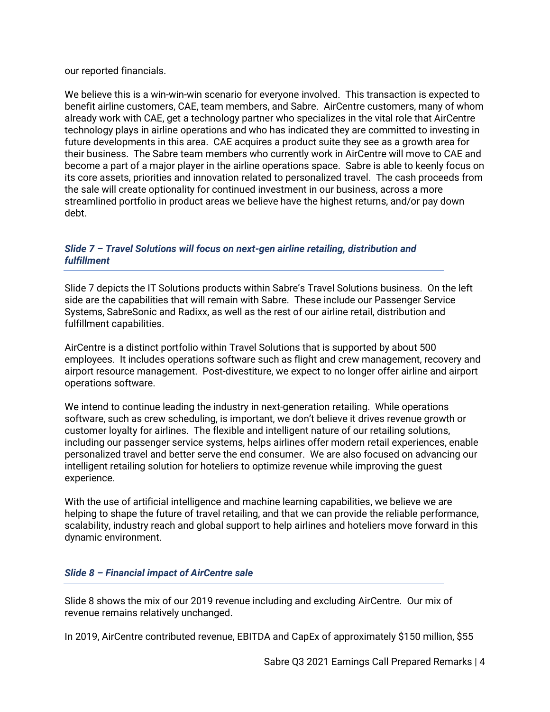our reported financials.

We believe this is a win-win-win scenario for everyone involved. This transaction is expected to benefit airline customers, CAE, team members, and Sabre. AirCentre customers, many of whom already work with CAE, get a technology partner who specializes in the vital role that AirCentre technology plays in airline operations and who has indicated they are committed to investing in future developments in this area. CAE acquires a product suite they see as a growth area for their business. The Sabre team members who currently work in AirCentre will move to CAE and become a part of a major player in the airline operations space. Sabre is able to keenly focus on its core assets, priorities and innovation related to personalized travel. The cash proceeds from the sale will create optionality for continued investment in our business, across a more streamlined portfolio in product areas we believe have the highest returns, and/or pay down debt.

# *Slide 7 – Travel Solutions will focus on next-gen airline retailing, distribution and fulfillment*

Slide 7 depicts the IT Solutions products within Sabre's Travel Solutions business. On the left side are the capabilities that will remain with Sabre. These include our Passenger Service Systems, SabreSonic and Radixx, as well as the rest of our airline retail, distribution and fulfillment capabilities.

AirCentre is a distinct portfolio within Travel Solutions that is supported by about 500 employees. It includes operations software such as flight and crew management, recovery and airport resource management. Post-divestiture, we expect to no longer offer airline and airport operations software.

We intend to continue leading the industry in next-generation retailing. While operations software, such as crew scheduling, is important, we don't believe it drives revenue growth or customer loyalty for airlines. The flexible and intelligent nature of our retailing solutions, including our passenger service systems, helps airlines offer modern retail experiences, enable personalized travel and better serve the end consumer. We are also focused on advancing our intelligent retailing solution for hoteliers to optimize revenue while improving the guest experience.

With the use of artificial intelligence and machine learning capabilities, we believe we are helping to shape the future of travel retailing, and that we can provide the reliable performance, scalability, industry reach and global support to help airlines and hoteliers move forward in this dynamic environment.

# *Slide 8 – Financial impact of AirCentre sale*

Slide 8 shows the mix of our 2019 revenue including and excluding AirCentre. Our mix of revenue remains relatively unchanged.

In 2019, AirCentre contributed revenue, EBITDA and CapEx of approximately \$150 million, \$55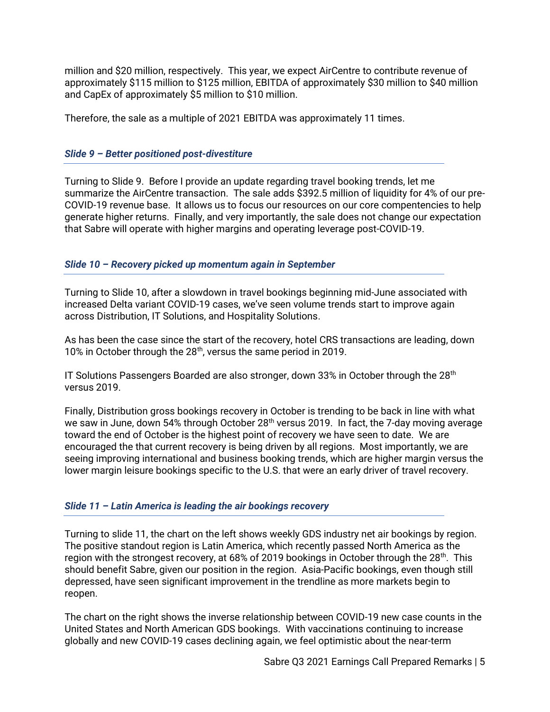million and \$20 million, respectively. This year, we expect AirCentre to contribute revenue of approximately \$115 million to \$125 million, EBITDA of approximately \$30 million to \$40 million and CapEx of approximately \$5 million to \$10 million.

Therefore, the sale as a multiple of 2021 EBITDA was approximately 11 times.

# *Slide 9 – Better positioned post-divestiture*

Turning to Slide 9. Before I provide an update regarding travel booking trends, let me summarize the AirCentre transaction. The sale adds \$392.5 million of liquidity for 4% of our pre-COVID-19 revenue base. It allows us to focus our resources on our core compentencies to help generate higher returns. Finally, and very importantly, the sale does not change our expectation that Sabre will operate with higher margins and operating leverage post-COVID-19.

### *Slide 10 – Recovery picked up momentum again in September*

Turning to Slide 10, after a slowdown in travel bookings beginning mid-June associated with increased Delta variant COVID-19 cases, we've seen volume trends start to improve again across Distribution, IT Solutions, and Hospitality Solutions.

As has been the case since the start of the recovery, hotel CRS transactions are leading, down 10% in October through the 28<sup>th</sup>, versus the same period in 2019.

IT Solutions Passengers Boarded are also stronger, down 33% in October through the  $28<sup>th</sup>$ versus 2019.

Finally, Distribution gross bookings recovery in October is trending to be back in line with what we saw in June, down 54% through October 28<sup>th</sup> versus 2019. In fact, the 7-day moving average toward the end of October is the highest point of recovery we have seen to date. We are encouraged the that current recovery is being driven by all regions. Most importantly, we are seeing improving international and business booking trends, which are higher margin versus the lower margin leisure bookings specific to the U.S. that were an early driver of travel recovery.

### *Slide 11 – Latin America is leading the air bookings recovery*

Turning to slide 11, the chart on the left shows weekly GDS industry net air bookings by region. The positive standout region is Latin America, which recently passed North America as the region with the strongest recovery, at 68% of 2019 bookings in October through the 28<sup>th</sup>. This should benefit Sabre, given our position in the region. Asia-Pacific bookings, even though still depressed, have seen significant improvement in the trendline as more markets begin to reopen.

The chart on the right shows the inverse relationship between COVID-19 new case counts in the United States and North American GDS bookings. With vaccinations continuing to increase globally and new COVID-19 cases declining again, we feel optimistic about the near-term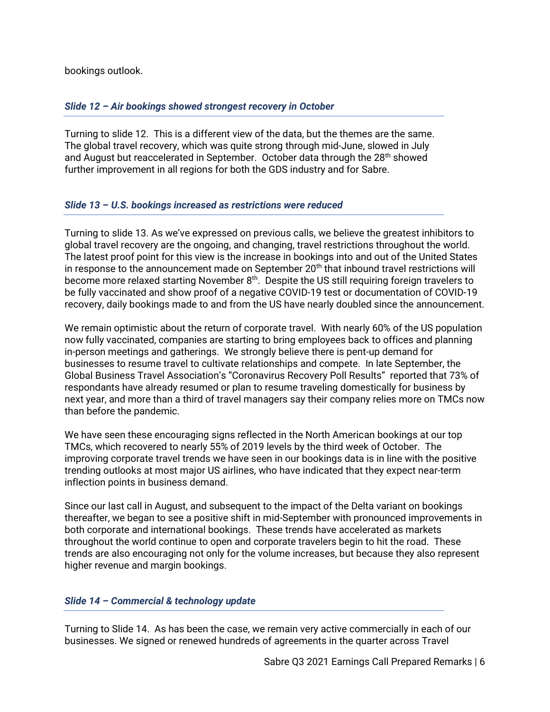bookings outlook.

## *Slide 12 – Air bookings showed strongest recovery in October*

Turning to slide 12. This is a different view of the data, but the themes are the same. The global travel recovery, which was quite strong through mid-June, slowed in July and August but reaccelerated in September. October data through the 28<sup>th</sup> showed further improvement in all regions for both the GDS industry and for Sabre.

### *Slide 13 – U.S. bookings increased as restrictions were reduced*

Turning to slide 13. As we've expressed on previous calls, we believe the greatest inhibitors to global travel recovery are the ongoing, and changing, travel restrictions throughout the world. The latest proof point for this view is the increase in bookings into and out of the United States in response to the announcement made on September 20<sup>th</sup> that inbound travel restrictions will become more relaxed starting November 8<sup>th</sup>. Despite the US still requiring foreign travelers to be fully vaccinated and show proof of a negative COVID-19 test or documentation of COVID-19 recovery, daily bookings made to and from the US have nearly doubled since the announcement.

We remain optimistic about the return of corporate travel. With nearly 60% of the US population now fully vaccinated, companies are starting to bring employees back to offices and planning in-person meetings and gatherings. We strongly believe there is pent-up demand for businesses to resume travel to cultivate relationships and compete. In late September, the Global Business Travel Association's "Coronavirus Recovery Poll Results" reported that 73% of respondants have already resumed or plan to resume traveling domestically for business by next year, and more than a third of travel managers say their company relies more on TMCs now than before the pandemic.

We have seen these encouraging signs reflected in the North American bookings at our top TMCs, which recovered to nearly 55% of 2019 levels by the third week of October. The improving corporate travel trends we have seen in our bookings data is in line with the positive trending outlooks at most major US airlines, who have indicated that they expect near-term inflection points in business demand.

Since our last call in August, and subsequent to the impact of the Delta variant on bookings thereafter, we began to see a positive shift in mid-September with pronounced improvements in both corporate and international bookings. These trends have accelerated as markets throughout the world continue to open and corporate travelers begin to hit the road. These trends are also encouraging not only for the volume increases, but because they also represent higher revenue and margin bookings.

# *Slide 14 – Commercial & technology update*

Turning to Slide 14. As has been the case, we remain very active commercially in each of our businesses. We signed or renewed hundreds of agreements in the quarter across Travel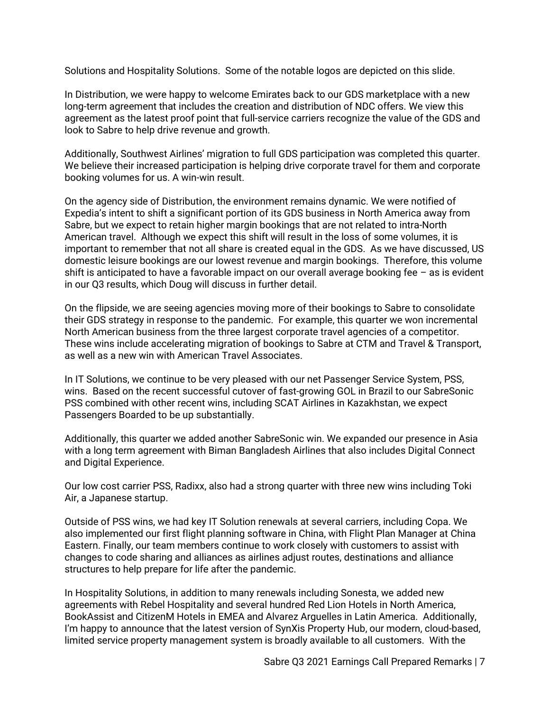Solutions and Hospitality Solutions. Some of the notable logos are depicted on this slide.

In Distribution, we were happy to welcome Emirates back to our GDS marketplace with a new long-term agreement that includes the creation and distribution of NDC offers. We view this agreement as the latest proof point that full-service carriers recognize the value of the GDS and look to Sabre to help drive revenue and growth.

Additionally, Southwest Airlines' migration to full GDS participation was completed this quarter. We believe their increased participation is helping drive corporate travel for them and corporate booking volumes for us. A win-win result.

On the agency side of Distribution, the environment remains dynamic. We were notified of Expedia's intent to shift a significant portion of its GDS business in North America away from Sabre, but we expect to retain higher margin bookings that are not related to intra-North American travel. Although we expect this shift will result in the loss of some volumes, it is important to remember that not all share is created equal in the GDS. As we have discussed, US domestic leisure bookings are our lowest revenue and margin bookings. Therefore, this volume shift is anticipated to have a favorable impact on our overall average booking fee – as is evident in our Q3 results, which Doug will discuss in further detail.

On the flipside, we are seeing agencies moving more of their bookings to Sabre to consolidate their GDS strategy in response to the pandemic. For example, this quarter we won incremental North American business from the three largest corporate travel agencies of a competitor. These wins include accelerating migration of bookings to Sabre at CTM and Travel & Transport, as well as a new win with American Travel Associates.

In IT Solutions, we continue to be very pleased with our net Passenger Service System, PSS, wins. Based on the recent successful cutover of fast-growing GOL in Brazil to our SabreSonic PSS combined with other recent wins, including SCAT Airlines in Kazakhstan, we expect Passengers Boarded to be up substantially.

Additionally, this quarter we added another SabreSonic win. We expanded our presence in Asia with a long term agreement with Biman Bangladesh Airlines that also includes Digital Connect and Digital Experience.

Our low cost carrier PSS, Radixx, also had a strong quarter with three new wins including Toki Air, a Japanese startup.

Outside of PSS wins, we had key IT Solution renewals at several carriers, including Copa. We also implemented our first flight planning software in China, with Flight Plan Manager at China Eastern. Finally, our team members continue to work closely with customers to assist with changes to code sharing and alliances as airlines adjust routes, destinations and alliance structures to help prepare for life after the pandemic.

In Hospitality Solutions, in addition to many renewals including Sonesta, we added new agreements with Rebel Hospitality and several hundred Red Lion Hotels in North America, BookAssist and CitizenM Hotels in EMEA and Alvarez Arguelles in Latin America. Additionally, I'm happy to announce that the latest version of SynXis Property Hub, our modern, cloud-based, limited service property management system is broadly available to all customers. With the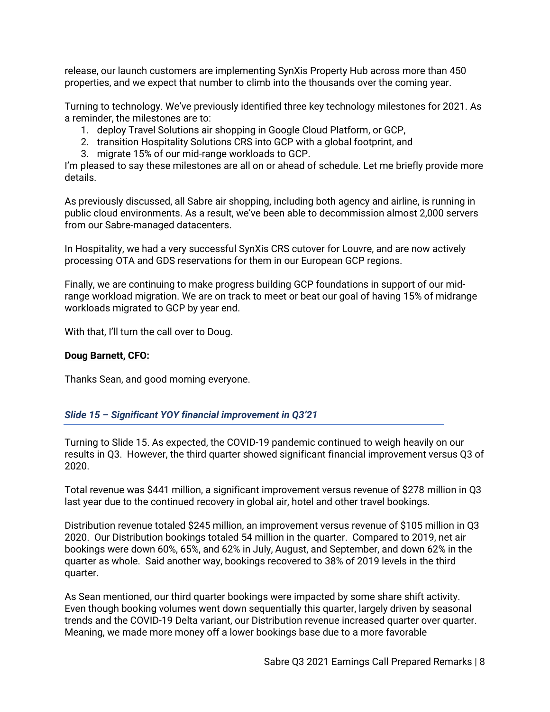release, our launch customers are implementing SynXis Property Hub across more than 450 properties, and we expect that number to climb into the thousands over the coming year.

Turning to technology. We've previously identified three key technology milestones for 2021. As a reminder, the milestones are to:

- 1. deploy Travel Solutions air shopping in Google Cloud Platform, or GCP,
- 2. transition Hospitality Solutions CRS into GCP with a global footprint, and
- 3. migrate 15% of our mid-range workloads to GCP.

I'm pleased to say these milestones are all on or ahead of schedule. Let me briefly provide more details.

As previously discussed, all Sabre air shopping, including both agency and airline, is running in public cloud environments. As a result, we've been able to decommission almost 2,000 servers from our Sabre-managed datacenters.

In Hospitality, we had a very successful SynXis CRS cutover for Louvre, and are now actively processing OTA and GDS reservations for them in our European GCP regions.

Finally, we are continuing to make progress building GCP foundations in support of our midrange workload migration. We are on track to meet or beat our goal of having 15% of midrange workloads migrated to GCP by year end.

With that, I'll turn the call over to Doug.

#### **Doug Barnett, CFO:**

Thanks Sean, and good morning everyone.

### *Slide 15 – Significant YOY financial improvement in Q3'21*

Turning to Slide 15. As expected, the COVID-19 pandemic continued to weigh heavily on our results in Q3. However, the third quarter showed significant financial improvement versus Q3 of 2020.

Total revenue was \$441 million, a significant improvement versus revenue of \$278 million in Q3 last year due to the continued recovery in global air, hotel and other travel bookings.

Distribution revenue totaled \$245 million, an improvement versus revenue of \$105 million in Q3 2020. Our Distribution bookings totaled 54 million in the quarter. Compared to 2019, net air bookings were down 60%, 65%, and 62% in July, August, and September, and down 62% in the quarter as whole. Said another way, bookings recovered to 38% of 2019 levels in the third quarter.

As Sean mentioned, our third quarter bookings were impacted by some share shift activity. Even though booking volumes went down sequentially this quarter, largely driven by seasonal trends and the COVID-19 Delta variant, our Distribution revenue increased quarter over quarter. Meaning, we made more money off a lower bookings base due to a more favorable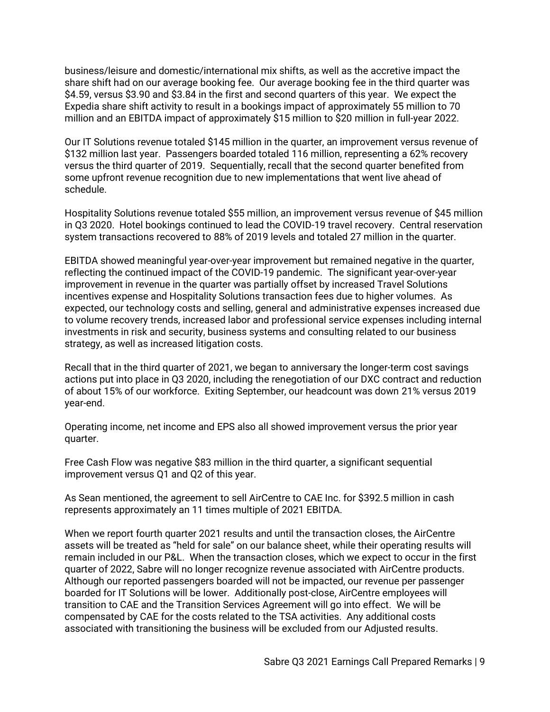business/leisure and domestic/international mix shifts, as well as the accretive impact the share shift had on our average booking fee. Our average booking fee in the third quarter was \$4.59, versus \$3.90 and \$3.84 in the first and second quarters of this year. We expect the Expedia share shift activity to result in a bookings impact of approximately 55 million to 70 million and an EBITDA impact of approximately \$15 million to \$20 million in full-year 2022.

Our IT Solutions revenue totaled \$145 million in the quarter, an improvement versus revenue of \$132 million last year. Passengers boarded totaled 116 million, representing a 62% recovery versus the third quarter of 2019. Sequentially, recall that the second quarter benefited from some upfront revenue recognition due to new implementations that went live ahead of schedule.

Hospitality Solutions revenue totaled \$55 million, an improvement versus revenue of \$45 million in Q3 2020. Hotel bookings continued to lead the COVID-19 travel recovery. Central reservation system transactions recovered to 88% of 2019 levels and totaled 27 million in the quarter.

EBITDA showed meaningful year-over-year improvement but remained negative in the quarter, reflecting the continued impact of the COVID-19 pandemic. The significant year-over-year improvement in revenue in the quarter was partially offset by increased Travel Solutions incentives expense and Hospitality Solutions transaction fees due to higher volumes. As expected, our technology costs and selling, general and administrative expenses increased due to volume recovery trends, increased labor and professional service expenses including internal investments in risk and security, business systems and consulting related to our business strategy, as well as increased litigation costs.

Recall that in the third quarter of 2021, we began to anniversary the longer-term cost savings actions put into place in Q3 2020, including the renegotiation of our DXC contract and reduction of about 15% of our workforce. Exiting September, our headcount was down 21% versus 2019 year-end.

Operating income, net income and EPS also all showed improvement versus the prior year quarter.

Free Cash Flow was negative \$83 million in the third quarter, a significant sequential improvement versus Q1 and Q2 of this year.

As Sean mentioned, the agreement to sell AirCentre to CAE Inc. for \$392.5 million in cash represents approximately an 11 times multiple of 2021 EBITDA.

When we report fourth quarter 2021 results and until the transaction closes, the AirCentre assets will be treated as "held for sale" on our balance sheet, while their operating results will remain included in our P&L. When the transaction closes, which we expect to occur in the first quarter of 2022, Sabre will no longer recognize revenue associated with AirCentre products. Although our reported passengers boarded will not be impacted, our revenue per passenger boarded for IT Solutions will be lower. Additionally post-close, AirCentre employees will transition to CAE and the Transition Services Agreement will go into effect. We will be compensated by CAE for the costs related to the TSA activities. Any additional costs associated with transitioning the business will be excluded from our Adjusted results.